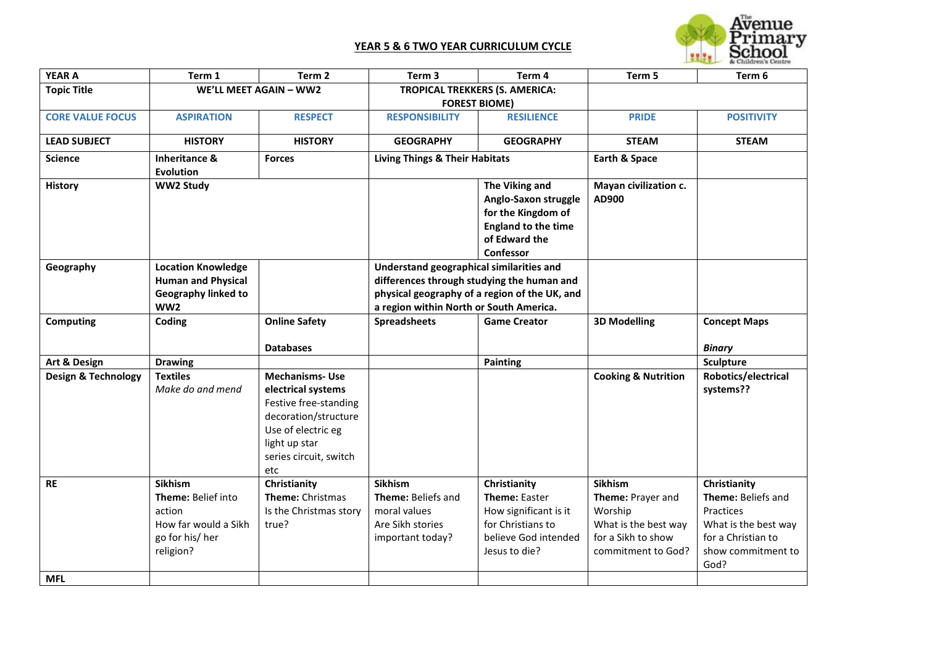

| <b>YEAR A</b>                  | Term 1                     | Term 2                  | Term 3                                        | Term 4                     | Term 5                         | Term 6               |
|--------------------------------|----------------------------|-------------------------|-----------------------------------------------|----------------------------|--------------------------------|----------------------|
| <b>Topic Title</b>             | WE'LL MEET AGAIN - WW2     |                         | <b>TROPICAL TREKKERS (S. AMERICA:</b>         |                            |                                |                      |
|                                |                            |                         | <b>FOREST BIOME)</b>                          |                            |                                |                      |
| <b>CORE VALUE FOCUS</b>        | <b>ASPIRATION</b>          | <b>RESPECT</b>          | <b>RESPONSIBILITY</b>                         | <b>RESILIENCE</b>          | <b>PRIDE</b>                   | <b>POSITIVITY</b>    |
| <b>LEAD SUBJECT</b>            | <b>HISTORY</b>             | <b>HISTORY</b>          | <b>GEOGRAPHY</b>                              | <b>GEOGRAPHY</b>           | <b>STEAM</b>                   | <b>STEAM</b>         |
| <b>Science</b>                 | <b>Inheritance &amp;</b>   | <b>Forces</b>           | <b>Living Things &amp; Their Habitats</b>     |                            | Earth & Space                  |                      |
|                                | <b>Evolution</b>           |                         |                                               |                            |                                |                      |
| <b>History</b>                 | <b>WW2 Study</b>           |                         |                                               | The Viking and             | Mayan civilization c.          |                      |
|                                |                            |                         |                                               | Anglo-Saxon struggle       | AD900                          |                      |
|                                |                            |                         |                                               | for the Kingdom of         |                                |                      |
|                                |                            |                         |                                               | <b>England to the time</b> |                                |                      |
|                                |                            |                         |                                               | of Edward the              |                                |                      |
|                                |                            |                         |                                               | Confessor                  |                                |                      |
| Geography                      | <b>Location Knowledge</b>  |                         | Understand geographical similarities and      |                            |                                |                      |
|                                | <b>Human and Physical</b>  |                         | differences through studying the human and    |                            |                                |                      |
|                                | <b>Geography linked to</b> |                         | physical geography of a region of the UK, and |                            |                                |                      |
|                                | WW2                        |                         | a region within North or South America.       |                            |                                |                      |
| <b>Computing</b>               | Coding                     | <b>Online Safety</b>    | <b>Spreadsheets</b>                           | <b>Game Creator</b>        | <b>3D Modelling</b>            | <b>Concept Maps</b>  |
|                                |                            |                         |                                               |                            |                                |                      |
|                                |                            | <b>Databases</b>        |                                               |                            |                                | <b>Binary</b>        |
| Art & Design                   | <b>Drawing</b>             |                         |                                               | <b>Painting</b>            |                                | Sculpture            |
| <b>Design &amp; Technology</b> | <b>Textiles</b>            | <b>Mechanisms-Use</b>   |                                               |                            | <b>Cooking &amp; Nutrition</b> | Robotics/electrical  |
|                                | Make do and mend           | electrical systems      |                                               |                            |                                | systems??            |
|                                |                            | Festive free-standing   |                                               |                            |                                |                      |
|                                |                            | decoration/structure    |                                               |                            |                                |                      |
|                                |                            | Use of electric eg      |                                               |                            |                                |                      |
|                                |                            | light up star           |                                               |                            |                                |                      |
|                                |                            | series circuit, switch  |                                               |                            |                                |                      |
|                                |                            | etc                     |                                               |                            |                                |                      |
| <b>RE</b>                      | <b>Sikhism</b>             | Christianity            | <b>Sikhism</b>                                | Christianity               | <b>Sikhism</b>                 | Christianity         |
|                                | Theme: Belief into         | <b>Theme: Christmas</b> | Theme: Beliefs and                            | <b>Theme: Easter</b>       | Theme: Prayer and              | Theme: Beliefs and   |
|                                | action                     | Is the Christmas story  | moral values                                  | How significant is it      | Worship                        | Practices            |
|                                | How far would a Sikh       | true?                   | Are Sikh stories                              | for Christians to          | What is the best way           | What is the best way |
|                                | go for his/her             |                         | important today?                              | believe God intended       | for a Sikh to show             | for a Christian to   |
|                                | religion?                  |                         |                                               | Jesus to die?              | commitment to God?             | show commitment to   |
|                                |                            |                         |                                               |                            |                                | God?                 |
| <b>MFL</b>                     |                            |                         |                                               |                            |                                |                      |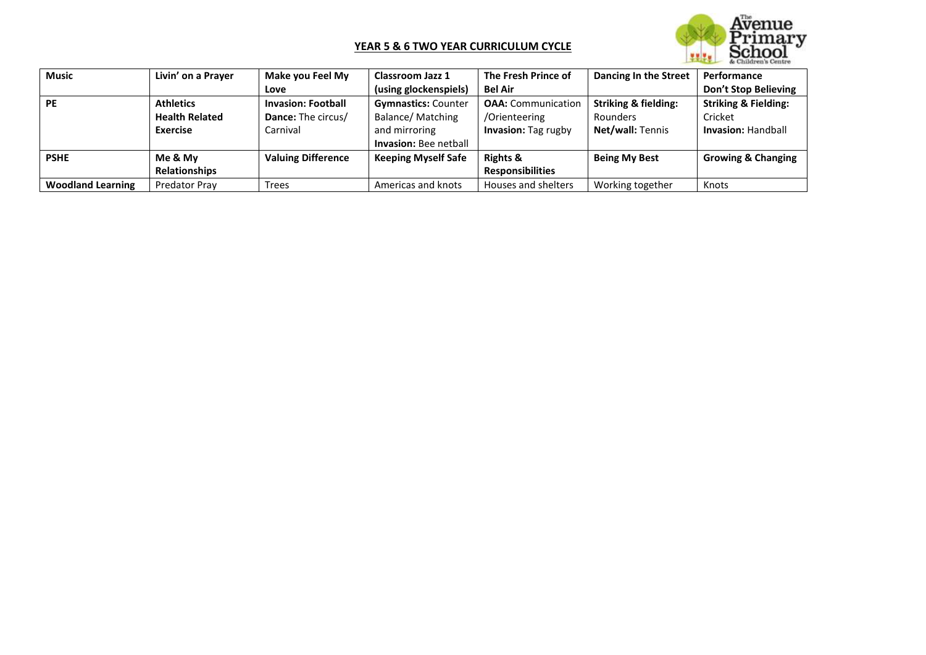

| <b>Music</b>             | Livin' on a Prayer    | Make you Feel My          | <b>Classroom Jazz 1</b>      | The Fresh Prince of       | Dancing In the Street           | Performance                     |
|--------------------------|-----------------------|---------------------------|------------------------------|---------------------------|---------------------------------|---------------------------------|
|                          |                       | Love                      | (using glockenspiels)        | <b>Bel Air</b>            |                                 | Don't Stop Believing            |
| <b>PE</b>                | <b>Athletics</b>      | <b>Invasion: Football</b> | <b>Gymnastics: Counter</b>   | <b>OAA:</b> Communication | <b>Striking &amp; fielding:</b> | <b>Striking &amp; Fielding:</b> |
|                          | <b>Health Related</b> | Dance: The circus/        | Balance/Matching             | /Orienteering             | Rounders                        | Cricket                         |
|                          | <b>Exercise</b>       | Carnival                  | and mirroring                | Invasion: Tag rugby       | Net/wall: Tennis                | <b>Invasion: Handball</b>       |
|                          |                       |                           | <b>Invasion: Bee netball</b> |                           |                                 |                                 |
| <b>PSHE</b>              | Me & My               | <b>Valuing Difference</b> | <b>Keeping Myself Safe</b>   | <b>Rights &amp;</b>       | <b>Being My Best</b>            | <b>Growing &amp; Changing</b>   |
|                          | <b>Relationships</b>  |                           |                              | <b>Responsibilities</b>   |                                 |                                 |
| <b>Woodland Learning</b> | Predator Pray         | <b>Trees</b>              | Americas and knots           | Houses and shelters       | Working together                | Knots                           |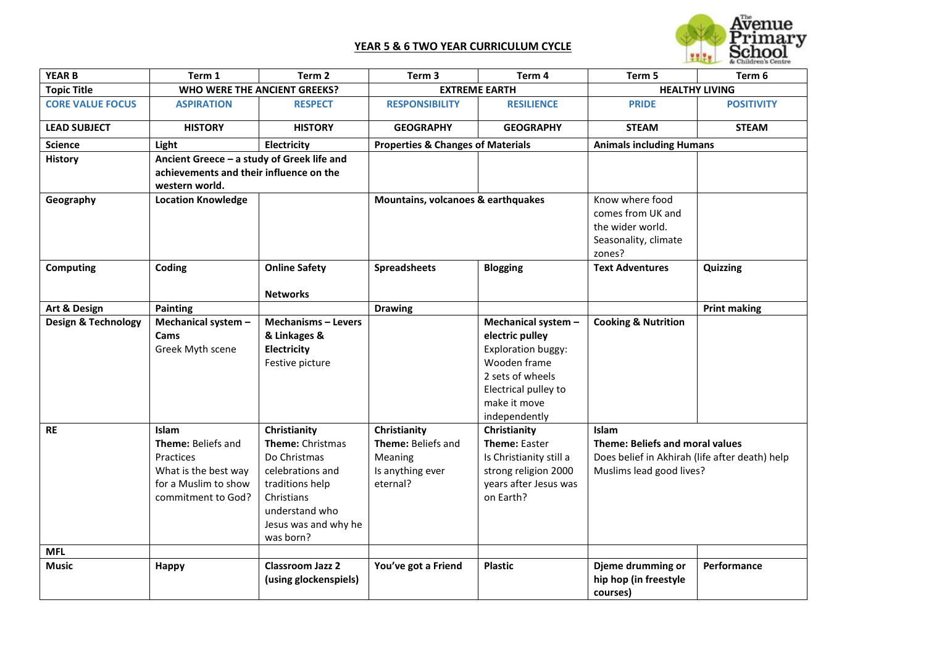

| <b>YEAR B</b>                  | Term 1                                                                                                         | Term <sub>2</sub>                                                                                                                                            | Term 3                                                                        | Term 4                                                                                                                                                           | Term 5                                                                                                                        | Term 6              |
|--------------------------------|----------------------------------------------------------------------------------------------------------------|--------------------------------------------------------------------------------------------------------------------------------------------------------------|-------------------------------------------------------------------------------|------------------------------------------------------------------------------------------------------------------------------------------------------------------|-------------------------------------------------------------------------------------------------------------------------------|---------------------|
| <b>Topic Title</b>             |                                                                                                                | WHO WERE THE ANCIENT GREEKS?                                                                                                                                 | <b>EXTREME EARTH</b>                                                          |                                                                                                                                                                  | <b>HEALTHY LIVING</b>                                                                                                         |                     |
| <b>CORE VALUE FOCUS</b>        | <b>ASPIRATION</b>                                                                                              | <b>RESPECT</b>                                                                                                                                               | <b>RESPONSIBILITY</b>                                                         | <b>RESILIENCE</b>                                                                                                                                                | <b>PRIDE</b>                                                                                                                  | <b>POSITIVITY</b>   |
| <b>LEAD SUBJECT</b>            | <b>HISTORY</b>                                                                                                 | <b>HISTORY</b>                                                                                                                                               | <b>GEOGRAPHY</b>                                                              | <b>GEOGRAPHY</b>                                                                                                                                                 | <b>STEAM</b>                                                                                                                  | <b>STEAM</b>        |
| <b>Science</b>                 | Light                                                                                                          | Electricity                                                                                                                                                  | <b>Properties &amp; Changes of Materials</b>                                  |                                                                                                                                                                  | <b>Animals including Humans</b>                                                                                               |                     |
| <b>History</b>                 | Ancient Greece - a study of Greek life and<br>achievements and their influence on the<br>western world.        |                                                                                                                                                              |                                                                               |                                                                                                                                                                  |                                                                                                                               |                     |
| Geography                      | <b>Location Knowledge</b>                                                                                      |                                                                                                                                                              | Mountains, volcanoes & earthquakes                                            |                                                                                                                                                                  | Know where food<br>comes from UK and<br>the wider world.<br>Seasonality, climate<br>zones?                                    |                     |
| Computing                      | Coding                                                                                                         | <b>Online Safety</b>                                                                                                                                         | <b>Spreadsheets</b>                                                           | <b>Blogging</b>                                                                                                                                                  | <b>Text Adventures</b>                                                                                                        | Quizzing            |
|                                |                                                                                                                | <b>Networks</b>                                                                                                                                              |                                                                               |                                                                                                                                                                  |                                                                                                                               |                     |
| Art & Design                   | Painting                                                                                                       |                                                                                                                                                              | <b>Drawing</b>                                                                |                                                                                                                                                                  |                                                                                                                               | <b>Print making</b> |
| <b>Design &amp; Technology</b> | Mechanical system -<br>Cams<br>Greek Myth scene                                                                | <b>Mechanisms - Levers</b><br>& Linkages &<br>Electricity<br>Festive picture                                                                                 |                                                                               | Mechanical system -<br>electric pulley<br><b>Exploration buggy:</b><br>Wooden frame<br>2 sets of wheels<br>Electrical pulley to<br>make it move<br>independently | <b>Cooking &amp; Nutrition</b>                                                                                                |                     |
| <b>RE</b>                      | Islam<br>Theme: Beliefs and<br>Practices<br>What is the best way<br>for a Muslim to show<br>commitment to God? | Christianity<br>Theme: Christmas<br>Do Christmas<br>celebrations and<br>traditions help<br>Christians<br>understand who<br>Jesus was and why he<br>was born? | Christianity<br>Theme: Beliefs and<br>Meaning<br>Is anything ever<br>eternal? | Christianity<br>Theme: Easter<br>Is Christianity still a<br>strong religion 2000<br>years after Jesus was<br>on Earth?                                           | Islam<br><b>Theme: Beliefs and moral values</b><br>Does belief in Akhirah (life after death) help<br>Muslims lead good lives? |                     |
| <b>MFL</b>                     |                                                                                                                |                                                                                                                                                              |                                                                               |                                                                                                                                                                  |                                                                                                                               |                     |
| Music                          | <b>Happy</b>                                                                                                   | <b>Classroom Jazz 2</b><br>(using glockenspiels)                                                                                                             | You've got a Friend                                                           | <b>Plastic</b>                                                                                                                                                   | Djeme drumming or<br>hip hop (in freestyle<br>courses)                                                                        | Performance         |